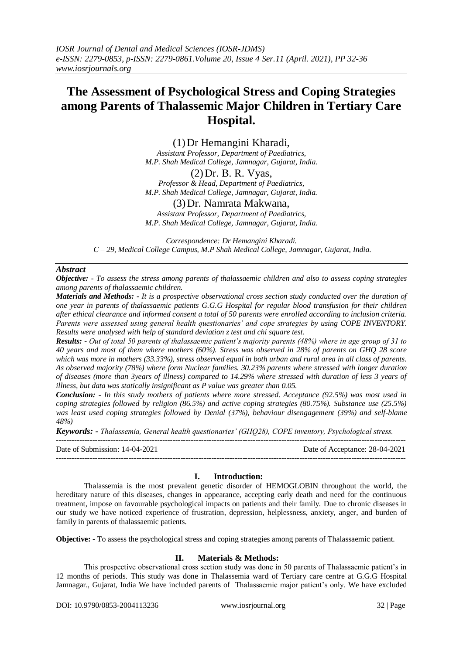# **The Assessment of Psychological Stress and Coping Strategies among Parents of Thalassemic Major Children in Tertiary Care Hospital.**

(1)Dr Hemangini Kharadi,

*Assistant Professor, Department of Paediatrics, M.P. Shah Medical College, Jamnagar, Gujarat, India.*

(2)Dr. B. R. Vyas, *Professor & Head, Department of Paediatrics,*

*M.P. Shah Medical College, Jamnagar, Gujarat, India.*

(3)Dr. Namrata Makwana,

*Assistant Professor, Department of Paediatrics, M.P. Shah Medical College, Jamnagar, Gujarat, India.*

*Correspondence: Dr Hemangini Kharadi. C – 29, Medical College Campus, M.P Shah Medical College, Jamnagar, Gujarat, India.*

# *Abstract*

*Objective: - To assess the stress among parents of thalassaemic children and also to assess coping strategies among parents of thalassaemic children.*

*Materials and Methods: - It is a prospective observational cross section study conducted over the duration of one year in parents of thalassaemic patients G.G.G Hospital for regular blood transfusion for their children after ethical clearance and informed consent a total of 50 parents were enrolled according to inclusion criteria. Parents were assessed using general health questionaries' and cope strategies by using COPE INVENTORY. Results were analysed with help of standard deviation z test and chi square test.* 

*Results: - Out of total 50 parents of thalassaemic patient's majority parents (48%) where in age group of 31 to 40 years and most of them where mothers (60%). Stress was observed in 28% of parents on GHQ 28 score which was more in mothers (33.33%), stress observed equal in both urban and rural area in all class of parents. As observed majority (78%) where form Nuclear families. 30.23% parents where stressed with longer duration of diseases (more than 3years of illness) compared to 14.29% where stressed with duration of less 3 years of illness, but data was statically insignificant as P value was greater than 0.05.* 

*Conclusion: - In this study mothers of patients where more stressed. Acceptance (92.5%) was most used in coping strategies followed by religion (86.5%) and active coping strategies (80.75%). Substance use (25.5%) was least used coping strategies followed by Denial (37%), behaviour disengagement (39%) and self-blame 48%)*

*Keywords: - Thalassemia, General health questionaries' (GHQ28), COPE inventory, Psychological stress.* 

--------------------------------------------------------------------------------------------------------------------------------------- Date of Submission: 14-04-2021 Date of Acceptance: 28-04-2021 ---------------------------------------------------------------------------------------------------------------------------------------

# **I. Introduction:**

Thalassemia is the most prevalent genetic disorder of HEMOGLOBIN throughout the world, the hereditary nature of this diseases, changes in appearance, accepting early death and need for the continuous treatment, impose on favourable psychological impacts on patients and their family. Due to chronic diseases in our study we have noticed experience of frustration, depression, helplessness, anxiety, anger, and burden of family in parents of thalassaemic patients.

**Objective: -** To assess the psychological stress and coping strategies among parents of Thalassaemic patient.

# **II. Materials & Methods:**

This prospective observational cross section study was done in 50 parents of Thalassaemic patient's in 12 months of periods. This study was done in Thalassemia ward of Tertiary care centre at G.G.G Hospital Jamnagar., Gujarat, India We have included parents of Thalassaemic major patient's only. We have excluded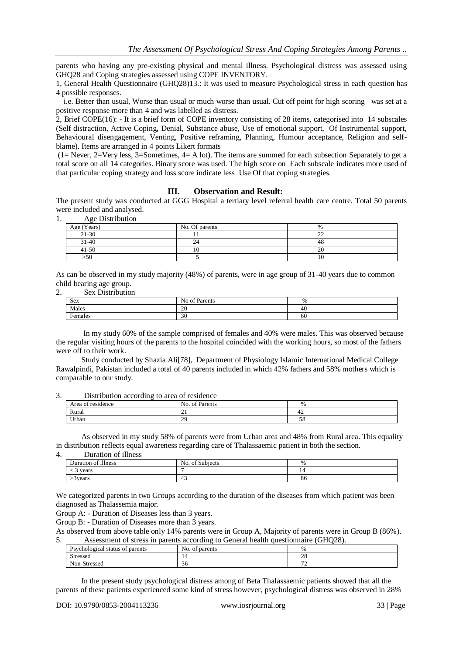parents who having any pre-existing physical and mental illness. Psychological distress was assessed using GHQ28 and Coping strategies assessed using COPE INVENTORY.

1, General Health Questionnaire (GHQ28)13.: It was used to measure Psychological stress in each question has 4 possible responses.

 i.e. Better than usual, Worse than usual or much worse than usual. Cut off point for high scoring was set at a positive response more than 4 and was labelled as distress.

2, Brief COPE(16): - It is a brief form of COPE inventory consisting of 28 items, categorised into 14 subscales (Self distraction, Active Coping, Denial, Substance abuse, Use of emotional support, Of Instrumental support, Behavioural disengagement, Venting, Positive reframing, Planning, Humour acceptance, Religion and selfblame). Items are arranged in 4 points Likert formats

(1= Never, 2=Very less, 3=Sometimes, 4= A lot). The items are summed for each subsection Separately to get a total score on all 14 categories. Binary score was used. The high score on Each subscale indicates more used of that particular coping strategy and loss score indicate less Use Of that coping strategies.

### **III. Observation and Result:**

The present study was conducted at GGG Hospital a tertiary level referral health care centre. Total 50 parents were included and analysed.

1. Age Distribution

| Age (Years) | No. Of parents | $\frac{0}{0}$ |
|-------------|----------------|---------------|
| $21 - 30$   |                | $\sim$<br>--  |
| $31 - 40$   |                | 40            |
| $41 - 50$   | 10             | $\cap$<br>∼   |
| >50         |                | 10            |

As can be observed in my study majority (48%) of parents, were in age group of 31-40 years due to common child bearing age group.

#### 2. Sex Distribution

| Sex     | <sup>f</sup> Parents<br>No of. | $\%$ |
|---------|--------------------------------|------|
| Males   | 20                             | 40   |
| Females | 30                             | 60   |

 In my study 60% of the sample comprised of females and 40% were males. This was observed because the regular visiting hours of the parents to the hospital coincided with the working hours, so most of the fathers were off to their work.

 Study conducted by Shazia Ali[78], Department of Physiology Islamic International Medical College Rawalpindi, Pakistan included a total of 40 parents included in which 42% fathers and 58% mothers which is comparable to our study.

## 3. Distribution according to area of residence

| -<br>residence<br>Area<br>$\Omega$ | $\sim$ $\sim$<br>No.<br>Parents<br>ΟĪ   | $\%$ |
|------------------------------------|-----------------------------------------|------|
| Rural                              | $\sim$<br>$\sim$ 1                      | 44   |
| Urban                              | $\gamma$ <sup><math>\alpha</math></sup> | IJΟ  |

 As observed in my study 58% of parents were from Urban area and 48% from Rural area. This equality in distribution reflects equal awareness regarding care of Thalassaemic patient in both the section.

# 4. Duration of illness

| Duration of illness           | No. of Subjects | $\%$ |
|-------------------------------|-----------------|------|
| years<br>$\ddot{\phantom{0}}$ |                 | 14   |
| 3 years                       | -45             | 86   |

We categorized parents in two Groups according to the duration of the diseases from which patient was been diagnosed as Thalassemia major.

Group A: - Duration of Diseases less than 3 years.

Group B: - Duration of Diseases more than 3 years.

As observed from above table only 14% parents were in Group A, Majority of parents were in Group B (86%). 5. Assessment of stress in parents according to General health questionnaire (GHQ28).

| Psychological.<br>parents<br>status of | No.<br>parents<br>-O1 | %            |
|----------------------------------------|-----------------------|--------------|
| Stressed                               | -4                    | $\sim$<br>20 |
| Non-Stressed                           | 30                    | $\sim$<br>-  |

 In the present study psychological distress among of Beta Thalassaemic patients showed that all the parents of these patients experienced some kind of stress however, psychological distress was observed in 28%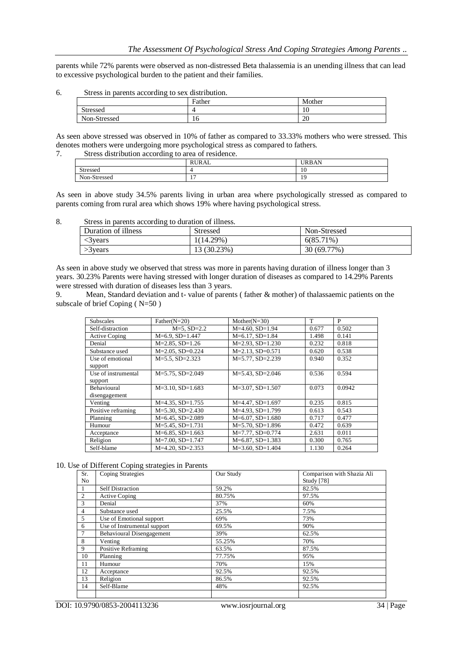parents while 72% parents were observed as non-distressed Beta thalassemia is an unending illness that can lead to excessive psychological burden to the patient and their families.

6. Stress in parents according to sex distribution.

|              | Father | Mother |
|--------------|--------|--------|
| Stressed     | 4      | 10     |
| Non-Stressed | 16     | 20     |

As seen above stressed was observed in 10% of father as compared to 33.33% mothers who were stressed. This denotes mothers were undergoing more psychological stress as compared to fathers.

7. Stress distribution according to area of residence.

| <b>RURAL</b><br>URBAN                               | _        |    |
|-----------------------------------------------------|----------|----|
|                                                     |          |    |
|                                                     | Stressed | 10 |
| Non-Stressed<br>1 <sub>7</sub><br>1 Q<br>. .<br>. . |          |    |

As seen in above study 34.5% parents living in urban area where psychologically stressed as compared to parents coming from rural area which shows 19% where having psychological stress.

8. Stress in parents according to duration of illness.

| Duration of illness | <b>Stressed</b> | Non-Stressed |
|---------------------|-----------------|--------------|
| 3 vears             | $1(14.29\%)$    | $6(85.71\%)$ |
| $>3$ years          | 13 (30.23%)     | 30 (69.77%)  |

As seen in above study we observed that stress was more in parents having duration of illness longer than 3 years. 30.23% Parents were having stressed with longer duration of diseases as compared to 14.29% Parents were stressed with duration of diseases less than 3 years.

9. Mean, Standard deviation and t- value of parents ( father & mother) of thalassaemic patients on the subscale of brief Coping ( N=50 )

| <b>Subscales</b>               | Father $(N=20)$       | Mother $(N=30)$       | T     | P      |
|--------------------------------|-----------------------|-----------------------|-------|--------|
| Self-distraction               | $M=5$ , $SD=2.2$      | $M=4.60$ , SD=1.94    | 0.677 | 0.502  |
| <b>Active Coping</b>           | $M=6.9$ , $SD=1.447$  | $M=6.17, SD=1.84$     | 1.498 | 0.141  |
| Denial                         | $M=2.85$ , SD=1.26    | $M=2.93$ , $SD=1.230$ | 0.232 | 0.818  |
| Substance used                 | $M=2.05$ , SD=0.224   | $M=2.13$ , SD=0.571   | 0.620 | 0.538  |
| Use of emotional<br>support    | $M=5.5$ , SD=2.323    | $M = 5.77$ , SD=2.239 | 0.940 | 0.352  |
| Use of instrumental<br>support | $M=5.75$ , SD=2.049   | $M=5.43$ , SD=2.046   | 0.536 | 0.594  |
| <b>Behavioural</b>             | $M=3.10$ , $SD=1.683$ | $M=3.07$ , SD=1.507   | 0.073 | 0.0942 |
| disengagement                  |                       |                       |       |        |
| Venting                        | $M=4.35$ , SD=1.755   | $M=4.47$ , $SD=1.697$ | 0.235 | 0.815  |
| Positive reframing             | $M=5.30, SD=2.430$    | $M=4.93$ , $SD=1.799$ | 0.613 | 0.543  |
| Planning                       | $M=6.45$ , SD=2.089   | $M=6.07$ , SD=1.680   | 0.717 | 0.477  |
| Humour                         | $M=5.45$ , SD=1.731   | $M=5.70$ , SD=1.896   | 0.472 | 0.639  |
| Acceptance                     | $M=6.85$ , SD=1.663   | $M=7.77$ , SD=0.774   | 2.631 | 0.011  |
| Religion                       | $M=7.00$ , SD=1.747   | $M=6.87$ , SD=1.383   | 0.300 | 0.765  |
| Self-blame                     | $M=4.20$ , $SD=2.353$ | $M=3.60$ , SD=1.404   | 1.130 | 0.264  |

10. Use of Different Coping strategies in Parents

| Sr.            | <b>Coping Strategies</b>         | Our Study | Comparison with Shazia Ali |
|----------------|----------------------------------|-----------|----------------------------|
| No             |                                  |           | <b>Study</b> [78]          |
|                | <b>Self Distraction</b>          | 59.2%     | 82.5%                      |
| 2              | Active Coping                    | 80.75%    | 97.5%                      |
| 3              | Denial                           | 37%       | 60%                        |
| $\overline{4}$ | Substance used                   | 25.5%     | 7.5%                       |
| 5              | Use of Emotional support         | 69%       | 73%                        |
| 6              | Use of Instrumental support      | 69.5%     | 90%                        |
| $\tau$         | <b>Behavioural Disengagement</b> | 39%       | 62.5%                      |
| 8              | Venting                          | 55.25%    | 70%                        |
| 9              | Positive Reframing               | 63.5%     | 87.5%                      |
| 10             | Planning                         | 77.75%    | 95%                        |
| 11             | Humour                           | 70%       | 15%                        |
| 12             | Acceptance                       | 92.5%     | 92.5%                      |
| 13             | Religion                         | 86.5%     | 92.5%                      |
| 14             | Self-Blame                       | 48%       | 92.5%                      |
|                |                                  |           |                            |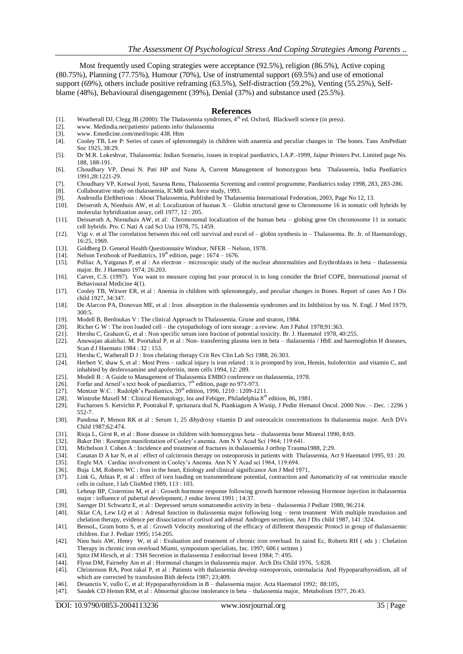Most frequently used Coping strategies were acceptance (92.5%), religion (86.5%), Active coping (80.75%), Planning (77.75%), Humour (70%), Use of instrumental support (69.5%) and use of emotional support (69%), others include positive reframing (63.5%), Self-distraction (59.2%), Venting (55.25%), Selfblame (48%), Behavioural disengagement (39%), Denial (37%) and substance used (25.5%).

#### **References**

- [1]. Weatherall DJ, Clegg JB (2000): The Thalassemia syndromes, 4<sup>th</sup> ed. Oxford, Blackwell science (in press).
- [2]. www. Medindia.net/patients/ patients info/ thalassemia<br>[3]. www. Emedicine.com/med/topic 438. Htm
- [3]. www. Emedicine.com/med/topic 438. Htm
- [4]. Cooley TB, Lee P: Series of cases of splenomegaly in children with anaemia and peculiar changes in The bones. Tans AmPediatr Soc 1925, 38:29.
- [5]. Dr M.R. Lokeshvar, Thalassemia: Indian Scenario, issues in tropical paediatrics, I.A.P.-1999, Jaipur Printers Pvt. Limited page No. 188, 188-191.
- [6]. Choudhary VP, Desai N. Pati HP and Nanu A, Current Management of homozygous beta Thalassemia, India Paediatrics 1991,28:1221-29.
- [7]. Choudhary VP, Kotwal Jyoti, Saxena Renu, Thalassemia Screening and control programme, Paediatrics today 1998, 283, 283-286.
- [8]. Collaborative study on thalassemia, ICMR task force study, 1993.
- [9]. Androulla Eleftherious : About Thalassemia, Published by Thalassemia International Federation, 2003, Page No 12, 13.
- [10]. Deiseroth A, Nienhuis AW, et al: Localization of human X Globin structural gene to Chromosome 16 in somatic cell hybrids by molecular hybridization assay, cell 1977, 12 : 205.
- [11]. Deisseroth A, Nienuhuis AW, et al: Chromosomal localization of the human beta globing gene On chromosome 11 in somatic cell hybrids. Pro. C Nati A cad Sci Usa 1978, 75, 1459.
- [12]. Vigi v. et al The correlation between this red cell survival and excel of globin synthesis in Thalassemia. Br. Jr. of Haematology, 16:25, 1969.
- [13]. Goldberg D. General Health Questionnaire Windsor, NFER Nelson, 1978.
- [14]. Nelson Textbook of Paediatrics,  $19^{th}$  edition, page : 1674 1676.
- [15]. Polliac A, Yatganas P, et al : An electron microscopic study of the nuclear abnormalities and Erythroblasts in beta thalassemia major. Br. J Haemato 1974; 26:203.
- [16]. Carver, C.S. (1997). You want to measure coping but your protocol is to long consider the Brief COPE, International journal of Behavioural Medicine 4(1).
- [17]. Cooley TB, Witwer ER, et al : Anemia in children with splenomegaly, and peculiar changes in Bones. Report of cases Am J Dis child 1927, 34:347.
- [18]. De Alarcon PA, Donovan ME, et al : Iron absorption in the thalassemia syndromes and its Inhibition by tea. N. Engl. J Med 1979,  $300.5$
- [19]. Modell B, Berdoukas V : The clinical Approach to Thalassemia. Grune and straton, 1984.
- [20]. Richer G W : The iron loaded cell the cytopathology of iorn storage : a review. Am J Pahol 1978;91:363.
- [21]. Hershu C, Graham G, et al : Non specific serum iorn fraction of potential toxicity. Br. J. Haematol 1978, 40:255.
- [22]. Anuwajan akalchai. M. Poortakul P, et al : Non- transferring plasma iorn in beta thalassemia / HbE and haemoglobin H diseases, Scan d J Haemato 1984 : 32 : 153.
- [23]. Hershu C, Watherall D J : Iron chelating therapy Crit Rev Clin Lab Sci 1988, 26:303.
- [24]. Herbert V, shaw S, et al : Most Press radical injury is iron related : it is prompted by iron, Hemin, holoferritin and vitamin C, and inhabited by desferoxamine and apoferritin, stem cells 1994, 12: 289.
- [25]. Modell B : A Guide to Management of Thalassemia EMBO conference on thalassemia, 1978.
- [26]. Forfar and Arneil's text book of paediatrics,  $7<sup>th</sup>$  edition, page no 971-973.
- [27]. Mentzer W.C. : Rudolph's Paediatrics, 20<sup>th</sup> edition, 1996, 1210 : 1209-1211.
- [28]. Wintrobe Maxell M : Clinical Hematology, lea and Febiger, Philadelphia 8<sup>th</sup> edition, 86, 1981.
- [29]. Fucharoen S. Ketvichit P, Pootrakul P, spritanara tkul N, Piankiagum A Wasip, J Peditr Hematol Oncol. 2000 Nov. Dec. : 2296 ) 552-7.
- [30]. Pandona P, Menon RK et al : Serum 1, 25 dihydroxy vitamin D and osteocalcin concentrations In thalassemia major. Arch DVs Child 1987;62:474.
- [31]. Rioja L, Girot R, et al : Bone disease in children with homozygous beta thalassemia bone Mineral 1990, 8:69.
- [32]. Baker Dit : Roentgen manifestation of Cooley's anemia. Ann N Y Acad Sci 1964; 119:641.
- [33]. Michelson J. Cohen A : Incidence and treatment of fractures in thalassemia J orthop Trauma1988, 2:29.<br>[34]. Canatan D A kar N, et al : effect of calcitronin therapy on osteoporosis in patients with Thalassemia, A
- [34]. Canatan D A kar N, et al : effect of calcitronin therapy on osteoporosis in patients with Thalassemia, Act 9 Haematol 1995, 93 : 20. [35]. Engle MA : Cardiac involvement in Cooley's Anemia. Ann N Y Acad sci 1964, 119:694.
- [36]. Buja LM, Roberts WC : Iron in the heart, Etiology and clinical significance Am J Med 1971,
- [37]. Link G, Athias P, et al : effect of iorn loading on transmembrane potential, contraction and Automaticity of rat ventricular muscle cells in culture, J lab ClinMed 1989, 113 : 103.
- [38]. Leheup BP, Cisternino M, et al : Growth hormone response following growth hormone releasing Hormone injection in thalassemia major : influence of pubertal development, J endoc Invest 1991 ; 14:37.
- [39]. Saenger D1 Schwartz E, et al : Depressed serum somatomedin activity in beta thalassemia J Pediatr 1980, 96:214.
- [40]. Sklar CA, Lew LQ et al : Adrenal function in thalassemia major following long term treatment With multiple transfusion and chelation therapy, evidence per dissociation of cortisol and adrenal Androgen secretion, Am J Dis child 1987, 141 :324.
- [41]. BensoL, Gram botto S, et al : Growth Velocity monitoring of the efficacy of different therapeutic Protocl in group of thalassaemic children. Eur J. Pediatr 1995; 154:205.
- [42]. Nieu huis AW, Henry W, et al : Evaluation and treatment of chronic iron overload. In zaind Ec, Roberts RH ( eds ) : Chelation Therapy in chronic iron overload Miami, symposium specialists, Inc. 1997; 606 ( written )
- [43]. Spitz IM Hirsch, et al : TSH Secretion in thalassemia J endocrinal Invest 1984; 7: 495.
- [44]. Flynn DM, Fairnehy Am et al : Hormonal changes in thalassemia major. Arch Dis Child 1976, 5:828.
- [45]. Christenson RA, Poot rakal P, et al : Patients with thalassemia develop osteoporosis, ostemalacia And Hypoparathyroidism, all of which are corrected by transfusion Bith defecta 1987; 23;409.
- [46]. Desanctis V, vullo C, et al: Hypoparathyroidism in B thalassemia major. Acta Haematol 1992; 88:105,
- [47]. Saudek CD Hemm RM, et al : Abnormal glucose intolerance in beta thalassemia major, Metabolism 1977, 26:43.